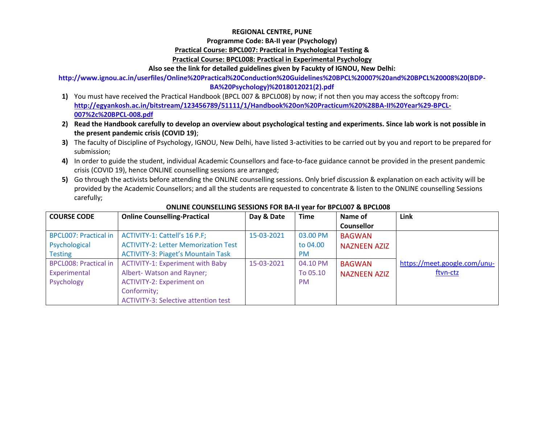### **REGIONAL CENTRE, PUNE**

#### **Programme Code: BA-II year (Psychology)**

#### **Practical Course: BPCL007: Practical in Psychological Testing &**

### **Practical Course: BPCL008: Practical in Experimental Psychology**

### **Also see the link for detailed guidelines given by Facukty of IGNOU, New Delhi:**

**http://www.ignou.ac.in/userfiles/Online%20Practical%20Conduction%20Guidelines%20BPCL%20007%20and%20BPCL%20008%20(BDP-**

### **BA%20Psychology)%2018012021(2).pdf**

- **1)** You must have received the Practical Handbook (BPCL 007 & BPCL008) by now; if not then you may access the softcopy from: **[http://egyankosh.ac.in/bitstream/123456789/51111/1/Handbook%20on%20Practicum%20%28BA-II%20Year%29-BPCL-](http://egyankosh.ac.in/bitstream/123456789/51111/1/Handbook%20on%20Practicum%20%28BA-II%20Year%29-BPCL-007%2c%20BPCL-008.pdf)[007%2c%20BPCL-008.pdf](http://egyankosh.ac.in/bitstream/123456789/51111/1/Handbook%20on%20Practicum%20%28BA-II%20Year%29-BPCL-007%2c%20BPCL-008.pdf)**
- **2) Read the Handbook carefully to develop an overview about psychological testing and experiments. Since lab work is not possible in the present pandemic crisis (COVID 19)**;
- **3)** The faculty of Discipline of Psychology, IGNOU, New Delhi, have listed 3-activities to be carried out by you and report to be prepared for submission;
- **4)** In order to guide the student, individual Academic Counsellors and face-to-face guidance cannot be provided in the present pandemic crisis (COVID 19), hence ONLINE counselling sessions are arranged;
- **5)** Go through the activists before attending the ONLINE counselling sessions. Only brief discussion & explanation on each activity will be provided by the Academic Counsellors; and all the students are requested to concentrate & listen to the ONLINE counselling Sessions carefully;

| <b>COURSE CODE</b>           | <b>Online Counselling-Practical</b>         | Day & Date | <b>Time</b> | Name of             | Link                         |
|------------------------------|---------------------------------------------|------------|-------------|---------------------|------------------------------|
|                              |                                             |            |             | <b>Counsellor</b>   |                              |
| <b>BPCL007: Practical in</b> | ACTIVITY-1: Cattell's 16 P.F;               | 15-03-2021 | 03.00 PM    | <b>BAGWAN</b>       |                              |
| Psychological                | <b>ACTIVITY-2: Letter Memorization Test</b> |            | to 04.00    | <b>NAZNEEN AZIZ</b> |                              |
| <b>Testing</b>               | <b>ACTIVITY-3: Piaget's Mountain Task</b>   |            | <b>PM</b>   |                     |                              |
| <b>BPCL008: Practical in</b> | <b>ACTIVITY-1: Experiment with Baby</b>     | 15-03-2021 | 04.10 PM    | <b>BAGWAN</b>       | https://meet.google.com/unu- |
| Experimental                 | Albert- Watson and Rayner;                  |            | To 05.10    | <b>NAZNEEN AZIZ</b> | ftvn-ctz                     |
| Psychology                   | <b>ACTIVITY-2: Experiment on</b>            |            | <b>PM</b>   |                     |                              |
|                              | Conformity;                                 |            |             |                     |                              |
|                              | <b>ACTIVITY-3: Selective attention test</b> |            |             |                     |                              |

#### **ONLINE COUNSELLING SESSIONS FOR BA-II year for BPCL007 & BPCL008**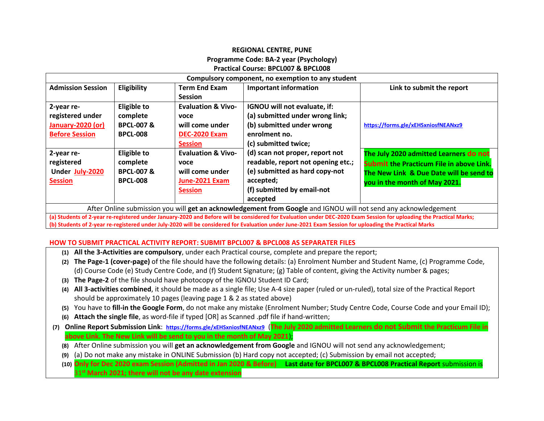## **REGIONAL CENTRE, PUNE Programme Code: BA-2 year (Psychology) Practical Course: BPCL007 & BPCL008**

| Compulsory component, no exemption to any student                                                               |                      |                               |                                    |                                                 |  |
|-----------------------------------------------------------------------------------------------------------------|----------------------|-------------------------------|------------------------------------|-------------------------------------------------|--|
| <b>Admission Session</b>                                                                                        | Eligibility          | <b>Term End Exam</b>          | <b>Important information</b>       | Link to submit the report                       |  |
|                                                                                                                 |                      | <b>Session</b>                |                                    |                                                 |  |
| 2-year re-                                                                                                      | Eligible to          | <b>Evaluation &amp; Vivo-</b> | IGNOU will not evaluate, if:       |                                                 |  |
| registered under                                                                                                | complete             | voce                          | (a) submitted under wrong link;    |                                                 |  |
| January-2020 (or)                                                                                               | <b>BPCL-007&amp;</b> | will come under               | (b) submitted under wrong          | https://forms.gle/xEHSxniosfNEANxz9             |  |
| <b>Before Session</b>                                                                                           | <b>BPCL-008</b>      | <b>DEC-2020 Exam</b>          | enrolment no.                      |                                                 |  |
|                                                                                                                 |                      | <b>Session</b>                | (c) submitted twice;               |                                                 |  |
| 2-year re-                                                                                                      | Eligible to          | <b>Evaluation &amp; Vivo-</b> | (d) scan not proper, report not    | The July 2020 admitted Learners do not          |  |
| registered                                                                                                      | complete             | voce                          | readable, report not opening etc.; | <b>Submit the Practicum File in above Link.</b> |  |
| Under July-2020                                                                                                 | <b>BPCL-007&amp;</b> | will come under               | (e) submitted as hard copy-not     | The New Link & Due Date will be send to         |  |
| <b>Session</b>                                                                                                  | <b>BPCL-008</b>      | June-2021 Exam                | accepted;                          | you in the month of May 2021.                   |  |
|                                                                                                                 |                      | <b>Session</b>                | (f) submitted by email-not         |                                                 |  |
|                                                                                                                 |                      |                               | accepted                           |                                                 |  |
| After Online submission you will get an acknowledgement from Google and IGNOU will not send any acknowledgement |                      |                               |                                    |                                                 |  |

**(a) Students of 2-year re-registered under January-2020 and Before will be considered for Evaluation under DEC-2020 Exam Session for uploading the Practical Marks; (b) Students of 2-year re-registered under July-2020 will be considered for Evaluation under June-2021 Exam Session for uploading the Practical Marks**

#### **HOW TO SUBMIT PRACTICAL ACTIVITY REPORT: SUBMIT BPCL007 & BPCL008 AS SEPARATER FILES**

- **(1) All the 3-Activities are compulsory**, under each Practical course, complete and prepare the report;
- **(2) The Page-1 (cover-page)** of the file should have the following details: (a) Enrolment Number and Student Name, (c) Programme Code, (d) Course Code (e) Study Centre Code, and (f) Student Signature; (g) Table of content, giving the Activity number & pages;
- **(3) The Page-2** of the file should have photocopy of the IGNOU Student ID Card;
- **(4) All 3-activities combined**, it should be made as a single file; Use A-4 size paper (ruled or un-ruled), total size of the Practical Report should be approximately 10 pages (leaving page 1 & 2 as stated above)
- **(5)** You have to **fill-in the Google Form**, do not make any mistake (Enrolment Number; Study Centre Code, Course Code and your Email ID);
- **(6) Attach the single file**, as word-file if typed [OR] as Scanned .pdf file if hand-written;
- **(7) Online Report Submission Link**: **<https://forms.gle/xEHSxniosfNEANxz9>** (**The July 2020 admitted Learners do not Submit the Practicum File in above Link. The New Link will be send to you in the month of May 2021**);
	- **(8)** After Online submission you will **get an acknowledgement from Google** and IGNOU will not send any acknowledgement;
	- **(9)** (a) Do not make any mistake in ONLINE Submission (b) Hard copy not accepted; (c) Submission by email not accepted;
	- **(10) Only for Dec 2020 exam Session (Admitted in Jan 2020 & Before) Last date for BPCL007 & BPCL008 Practical Report** submission is 31 **st March 2021; there will not be any date extension**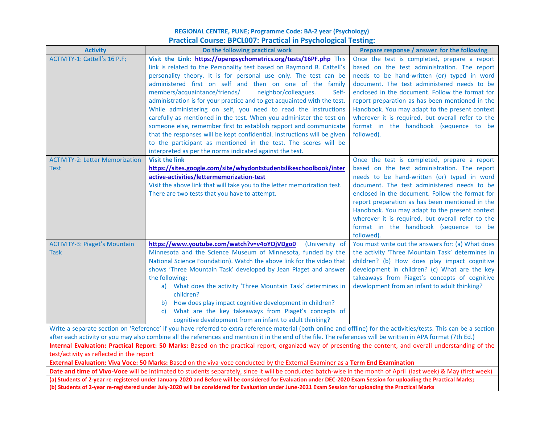## **REGIONAL CENTRE, PUNE; Programme Code: BA-2 year (Psychology) Practical Course: BPCL007: Practical in Psychological Testing:**

| <b>Activity</b>                                                                                                                                                                                                                                                                                                              | Do the following practical work                                                                                                                                                                                                                                                                                                                                                                                                                                                                                                                                                                                                                                                                                                                                                                                                                   | Prepare response / answer for the following                                                                                                                                                                                                                                                                                                                                                                                                                     |  |  |
|------------------------------------------------------------------------------------------------------------------------------------------------------------------------------------------------------------------------------------------------------------------------------------------------------------------------------|---------------------------------------------------------------------------------------------------------------------------------------------------------------------------------------------------------------------------------------------------------------------------------------------------------------------------------------------------------------------------------------------------------------------------------------------------------------------------------------------------------------------------------------------------------------------------------------------------------------------------------------------------------------------------------------------------------------------------------------------------------------------------------------------------------------------------------------------------|-----------------------------------------------------------------------------------------------------------------------------------------------------------------------------------------------------------------------------------------------------------------------------------------------------------------------------------------------------------------------------------------------------------------------------------------------------------------|--|--|
| ACTIVITY-1: Cattell's 16 P.F;                                                                                                                                                                                                                                                                                                | Visit the Link: https://openpsychometrics.org/tests/16PF.php This<br>link is related to the Personality test based on Raymond B. Cattell's<br>personality theory. It is for personal use only. The test can be<br>administered first on self and then on one of the family<br>members/acquaintance/friends/<br>neighbor/colleagues.<br>Self-<br>administration is for your practice and to get acquainted with the test.<br>While administering on self, you need to read the instructions<br>carefully as mentioned in the test. When you administer the test on<br>someone else, remember first to establish rapport and communicate<br>that the responses will be kept confidential. Instructions will be given<br>to the participant as mentioned in the test. The scores will be<br>interpreted as per the norms indicated against the test. | Once the test is completed, prepare a report<br>based on the test administration. The report<br>needs to be hand-written (or) typed in word<br>document. The test administered needs to be<br>enclosed in the document. Follow the format for<br>report preparation as has been mentioned in the<br>Handbook. You may adapt to the present context<br>wherever it is required, but overall refer to the<br>format in the handbook (sequence to be<br>followed). |  |  |
| <b>ACTIVITY-2: Letter Memorization</b><br>Test                                                                                                                                                                                                                                                                               | <b>Visit the link</b><br>https://sites.google.com/site/whydontstudentslikeschoolbook/inter<br>active-activities/lettermemorization-test<br>Visit the above link that will take you to the letter memorization test.<br>There are two tests that you have to attempt.                                                                                                                                                                                                                                                                                                                                                                                                                                                                                                                                                                              | Once the test is completed, prepare a report<br>based on the test administration. The report<br>needs to be hand-written (or) typed in word<br>document. The test administered needs to be<br>enclosed in the document. Follow the format for<br>report preparation as has been mentioned in the<br>Handbook. You may adapt to the present context<br>wherever it is required, but overall refer to the<br>format in the handbook (sequence to be<br>followed). |  |  |
| <b>ACTIVITY-3: Piaget's Mountain</b><br><b>Task</b>                                                                                                                                                                                                                                                                          | https://www.youtube.com/watch?v=v4oYOjVDgo0<br>(University of<br>Minnesota and the Science Museum of Minnesota, funded by the<br>National Science Foundation). Watch the above link for the video that<br>shows 'Three Mountain Task' developed by Jean Piaget and answer<br>the following:<br>a) What does the activity 'Three Mountain Task' determines in<br>children?<br>b) How does play impact cognitive development in children?<br>What are the key takeaways from Piaget's concepts of<br>C)<br>cognitive development from an infant to adult thinking?                                                                                                                                                                                                                                                                                  | You must write out the answers for: (a) What does<br>the activity 'Three Mountain Task' determines in<br>children? (b) How does play impact cognitive<br>development in children? (c) What are the key<br>takeaways from Piaget's concepts of cognitive<br>development from an infant to adult thinking?                                                                                                                                                        |  |  |
| Write a separate section on 'Reference' if you have referred to extra reference material (both online and offline) for the activities/tests. This can be a section                                                                                                                                                           |                                                                                                                                                                                                                                                                                                                                                                                                                                                                                                                                                                                                                                                                                                                                                                                                                                                   |                                                                                                                                                                                                                                                                                                                                                                                                                                                                 |  |  |
| after each activity or you may also combine all the references and mention it in the end of the file. The references will be written in APA format (7th Ed.)                                                                                                                                                                 |                                                                                                                                                                                                                                                                                                                                                                                                                                                                                                                                                                                                                                                                                                                                                                                                                                                   |                                                                                                                                                                                                                                                                                                                                                                                                                                                                 |  |  |
| Internal Evaluation: Practical Report: 50 Marks: Based on the practical report, organized way of presenting the content, and overall understanding of the<br>test/activity as reflected in the report                                                                                                                        |                                                                                                                                                                                                                                                                                                                                                                                                                                                                                                                                                                                                                                                                                                                                                                                                                                                   |                                                                                                                                                                                                                                                                                                                                                                                                                                                                 |  |  |
| External Evaluation: Viva Voce: 50 Marks: Based on the viva-voce conducted by the External Examiner as a Term End Examination                                                                                                                                                                                                |                                                                                                                                                                                                                                                                                                                                                                                                                                                                                                                                                                                                                                                                                                                                                                                                                                                   |                                                                                                                                                                                                                                                                                                                                                                                                                                                                 |  |  |
| Date and time of Vivo-Voce will be intimated to students separately, since it will be conducted batch-wise in the month of April (last week) & May (first week)                                                                                                                                                              |                                                                                                                                                                                                                                                                                                                                                                                                                                                                                                                                                                                                                                                                                                                                                                                                                                                   |                                                                                                                                                                                                                                                                                                                                                                                                                                                                 |  |  |
| (a) Students of 2-year re-registered under January-2020 and Before will be considered for Evaluation under DEC-2020 Exam Session for uploading the Practical Marks;<br>(b) Students of 2-year re-registered under July-2020 will be considered for Evaluation under June-2021 Exam Session for uploading the Practical Marks |                                                                                                                                                                                                                                                                                                                                                                                                                                                                                                                                                                                                                                                                                                                                                                                                                                                   |                                                                                                                                                                                                                                                                                                                                                                                                                                                                 |  |  |